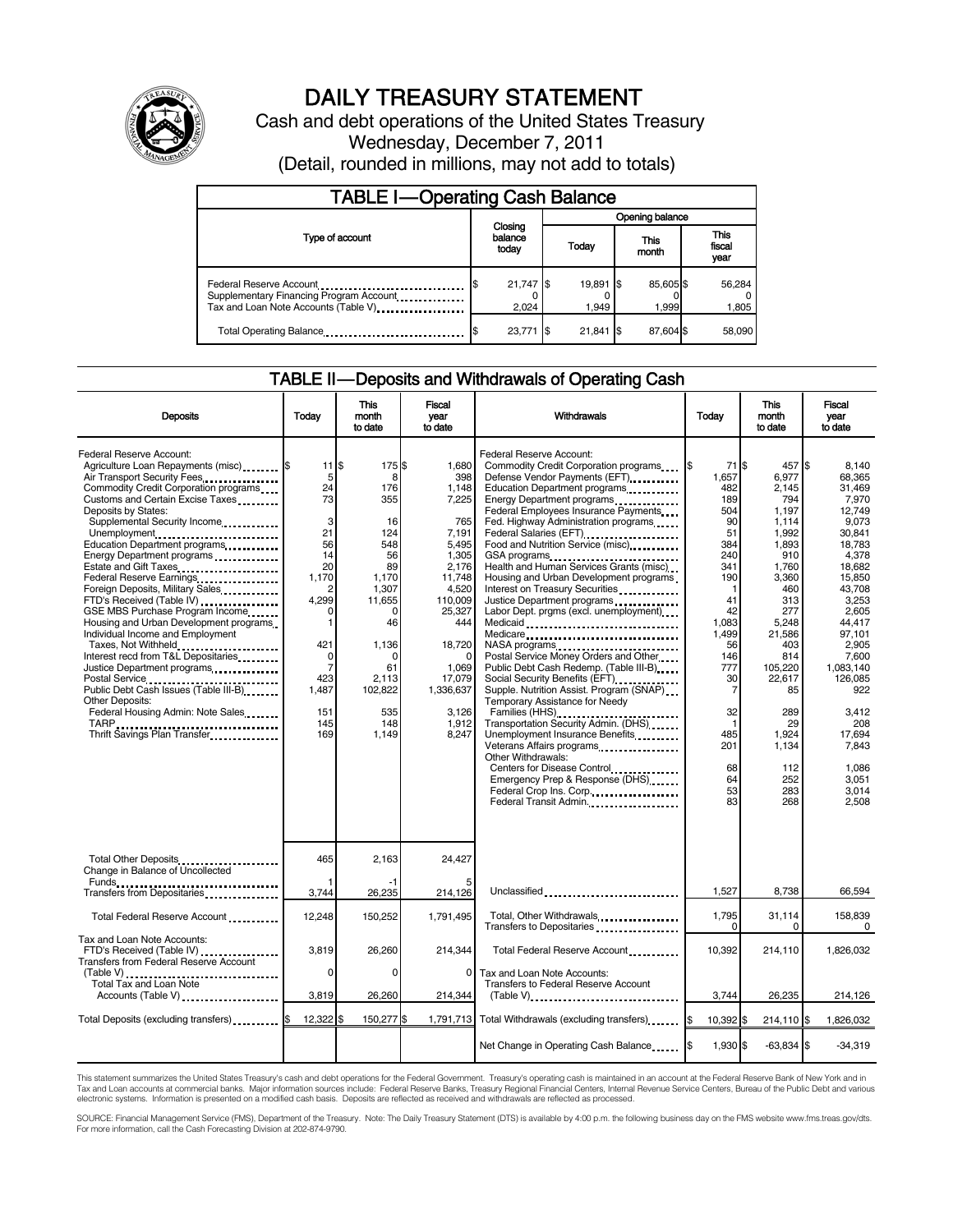

# DAILY TREASURY STATEMENT

Cash and debt operations of the United States Treasury Wednesday, December 7, 2011 (Detail, rounded in millions, may not add to totals)

| <b>TABLE I-Operating Cash Balance</b>                                                                       |                             |                      |                 |                    |               |                               |  |                 |
|-------------------------------------------------------------------------------------------------------------|-----------------------------|----------------------|-----------------|--------------------|---------------|-------------------------------|--|-----------------|
|                                                                                                             | Closing<br>balance<br>today |                      | Opening balance |                    |               |                               |  |                 |
| Type of account                                                                                             |                             |                      | Today           |                    | This<br>month | <b>This</b><br>fiscal<br>year |  |                 |
| Federal Reserve Account<br>Supplementary Financing Program Account<br>Tax and Loan Note Accounts (Table V). |                             | $21,747$ \$<br>2,024 |                 | 19,891 \$<br>1.949 |               | 85,605 \$<br>1,999            |  | 56,284<br>1,805 |
| Total Operating Balance                                                                                     |                             | 23,771               | - IS            | $21,841$ \$        |               | 87.604 \$                     |  | 58.090          |

### TABLE II — Deposits and Withdrawals of Operating Cash

| <b>Deposits</b>                                                                                                                                                                                                                                                                                                                                                                                                                                                                                                                                                                                                                                                                                                                                                            | Today                                                                                                                                                                        | <b>This</b><br>month<br>to date                                                                                                                                        | <b>Fiscal</b><br>year<br>to date                                                                                                                                                                          | Withdrawals                                                                                                                                                                                                                                                                                                                                                                                                                                                                                                                                                                                                                                                                                                                                                                                                                                                                                                                                                                                                                                                                                 | Today                                                                                                                                                                                                      | <b>This</b><br>month<br>to date                                                                                                                                                                                                          | <b>Fiscal</b><br>vear<br>to date                                                                                                                                                                                                                                               |
|----------------------------------------------------------------------------------------------------------------------------------------------------------------------------------------------------------------------------------------------------------------------------------------------------------------------------------------------------------------------------------------------------------------------------------------------------------------------------------------------------------------------------------------------------------------------------------------------------------------------------------------------------------------------------------------------------------------------------------------------------------------------------|------------------------------------------------------------------------------------------------------------------------------------------------------------------------------|------------------------------------------------------------------------------------------------------------------------------------------------------------------------|-----------------------------------------------------------------------------------------------------------------------------------------------------------------------------------------------------------|---------------------------------------------------------------------------------------------------------------------------------------------------------------------------------------------------------------------------------------------------------------------------------------------------------------------------------------------------------------------------------------------------------------------------------------------------------------------------------------------------------------------------------------------------------------------------------------------------------------------------------------------------------------------------------------------------------------------------------------------------------------------------------------------------------------------------------------------------------------------------------------------------------------------------------------------------------------------------------------------------------------------------------------------------------------------------------------------|------------------------------------------------------------------------------------------------------------------------------------------------------------------------------------------------------------|------------------------------------------------------------------------------------------------------------------------------------------------------------------------------------------------------------------------------------------|--------------------------------------------------------------------------------------------------------------------------------------------------------------------------------------------------------------------------------------------------------------------------------|
| Federal Reserve Account:<br>Agriculture Loan Repayments (misc) \$<br>Air Transport Security Fees<br>Commodity Credit Corporation programs<br>Customs and Certain Excise Taxes<br>Deposits by States:<br>Supplemental Security Income<br>Unemployment<br>Education Department programs<br>Energy Department programs<br>Federal Reserve Earnings<br>Foreign Deposits, Military Sales<br>FTD's Received (Table IV)<br>GSE MBS Purchase Program Income<br>Housing and Urban Development programs<br>Individual Income and Employment<br>Taxes, Not Withheld<br>Interest recd from T&L Depositaries<br>Justice Department programs<br><br>Public Debt Cash Issues (Table III-B)<br><b>Other Deposits:</b><br>Federal Housing Admin: Note Sales<br>Thrift Savings Plan Transfer | $11$ $\overline{\text{s}}$<br>5<br>24<br>73<br>3<br>21<br>56<br>14<br>20<br>1,170<br>2<br>4,299<br>0<br>1<br>421<br>0<br>$\overline{7}$<br>423<br>1,487<br>151<br>145<br>169 | 175 \$<br>8<br>176<br>355<br>16<br>124<br>548<br>56<br>89<br>1,170<br>1.307<br>11,655<br>$\Omega$<br>46<br>1,136<br>0<br>61<br>2,113<br>102,822<br>535<br>148<br>1,149 | 1.680<br>398<br>1,148<br>7,225<br>765<br>7,191<br>5,495<br>1,305<br>2.176<br>11,748<br>4.520<br>110,009<br>25,327<br>444<br>18,720<br>$\Omega$<br>1,069<br>17.079<br>1,336,637<br>3.126<br>1,912<br>8,247 | Federal Reserve Account:<br>Commodity Credit Corporation programs<br>Defense Vendor Payments (EFT)<br>Education Department programs<br>Energy Department programs<br><br>Federal Employees Insurance Payments<br>Fed. Highway Administration programs<br>Federal Salaries (EFT)<br>1999 - The Marine Salaries (EFT)<br>Food and Nutrition Service (misc)<br>GSA programs<br>Health and Human Services Grants (misc)<br>Housing and Urban Development programs<br>Interest on Treasury Securities<br>Justice Department programs<br>Labor Dept. prgms (excl. unemployment)<br>Medicaid<br>Medicare<br>NASA programs<br>Postal Service Money Orders and Other<br>Public Debt Cash Redemp. (Table III-B)<br>Social Security Benefits (EFT)<br>Supple. Nutrition Assist. Program (SNAP)<br>Temporary Assistance for Needy<br>Families (HHS)<br>Transportation Security Admin. (DHS)<br>Unemployment Insurance Benefits<br>Veterans Affairs programs<br>Other Withdrawals:<br>Centers for Disease Control<br>Emergency Prep & Response (DHS)<br>Federal Crop Ins. Corp.<br>Federal Transit Admin | 71 IS<br>1,657<br>482<br>189<br>504<br>90<br>51<br>384<br>240<br>341<br>190<br>-1<br>41<br>42<br>1.083<br>1.499<br>56<br>146<br>777<br>30<br>7<br>32<br>$\mathbf{1}$<br>485<br>201<br>68<br>64<br>53<br>83 | 457 \$<br>6,977<br>2,145<br>794<br>1.197<br>1.114<br>1.992<br>1,893<br>910<br>1.760<br>3,360<br>460<br>313<br>277<br>5.248<br>21,586<br>403<br>814<br>105,220<br>22.617<br>85<br>289<br>29<br>1,924<br>1,134<br>112<br>252<br>283<br>268 | 8.140<br>68,365<br>31.469<br>7,970<br>12.749<br>9.073<br>30.841<br>18,783<br>4,378<br>18.682<br>15.850<br>43.708<br>3,253<br>2,605<br>44.417<br>97.101<br>2.905<br>7.600<br>1,083,140<br>126.085<br>922<br>3.412<br>208<br>17.694<br>7.843<br>1.086<br>3.051<br>3,014<br>2.508 |
| Total Other Deposits<br>Change in Balance of Uncollected                                                                                                                                                                                                                                                                                                                                                                                                                                                                                                                                                                                                                                                                                                                   | 465                                                                                                                                                                          | 2,163                                                                                                                                                                  | 24,427                                                                                                                                                                                                    |                                                                                                                                                                                                                                                                                                                                                                                                                                                                                                                                                                                                                                                                                                                                                                                                                                                                                                                                                                                                                                                                                             |                                                                                                                                                                                                            |                                                                                                                                                                                                                                          |                                                                                                                                                                                                                                                                                |
|                                                                                                                                                                                                                                                                                                                                                                                                                                                                                                                                                                                                                                                                                                                                                                            | 3,744                                                                                                                                                                        | 26,235                                                                                                                                                                 | 214,126                                                                                                                                                                                                   | Unclassified                                                                                                                                                                                                                                                                                                                                                                                                                                                                                                                                                                                                                                                                                                                                                                                                                                                                                                                                                                                                                                                                                | 1,527                                                                                                                                                                                                      | 8,738                                                                                                                                                                                                                                    | 66,594                                                                                                                                                                                                                                                                         |
| Total Federal Reserve Account                                                                                                                                                                                                                                                                                                                                                                                                                                                                                                                                                                                                                                                                                                                                              | 12,248                                                                                                                                                                       | 150,252                                                                                                                                                                | 1.791.495                                                                                                                                                                                                 | Total, Other Withdrawals<br>Transfers to Depositaries                                                                                                                                                                                                                                                                                                                                                                                                                                                                                                                                                                                                                                                                                                                                                                                                                                                                                                                                                                                                                                       | 1,795<br>0                                                                                                                                                                                                 | 31,114<br>0                                                                                                                                                                                                                              | 158,839<br>0                                                                                                                                                                                                                                                                   |
| Tax and Loan Note Accounts:<br>FTD's Received (Table IV)<br><b>Transfers from Federal Reserve Account</b>                                                                                                                                                                                                                                                                                                                                                                                                                                                                                                                                                                                                                                                                  | 3,819                                                                                                                                                                        | 26,260                                                                                                                                                                 | 214,344                                                                                                                                                                                                   | Total Federal Reserve Account                                                                                                                                                                                                                                                                                                                                                                                                                                                                                                                                                                                                                                                                                                                                                                                                                                                                                                                                                                                                                                                               | 10,392                                                                                                                                                                                                     | 214,110                                                                                                                                                                                                                                  | 1,826,032                                                                                                                                                                                                                                                                      |
| Total Tax and Loan Note<br>Accounts (Table V)                                                                                                                                                                                                                                                                                                                                                                                                                                                                                                                                                                                                                                                                                                                              | $\Omega$<br>3,819                                                                                                                                                            | $\Omega$<br>26,260                                                                                                                                                     | 0<br>214,344                                                                                                                                                                                              | Tax and Loan Note Accounts:<br><b>Transfers to Federal Reserve Account</b><br>(Table V)                                                                                                                                                                                                                                                                                                                                                                                                                                                                                                                                                                                                                                                                                                                                                                                                                                                                                                                                                                                                     | 3,744                                                                                                                                                                                                      | 26,235                                                                                                                                                                                                                                   | 214,126                                                                                                                                                                                                                                                                        |
| Total Deposits (excluding transfers) [65]                                                                                                                                                                                                                                                                                                                                                                                                                                                                                                                                                                                                                                                                                                                                  | 12,322 \$                                                                                                                                                                    | 150,277 \$                                                                                                                                                             |                                                                                                                                                                                                           | 1,791,713 Total Withdrawals (excluding transfers)                                                                                                                                                                                                                                                                                                                                                                                                                                                                                                                                                                                                                                                                                                                                                                                                                                                                                                                                                                                                                                           | 10,392 \$<br>I\$                                                                                                                                                                                           | 214,110 \$                                                                                                                                                                                                                               | 1,826,032                                                                                                                                                                                                                                                                      |
|                                                                                                                                                                                                                                                                                                                                                                                                                                                                                                                                                                                                                                                                                                                                                                            |                                                                                                                                                                              |                                                                                                                                                                        |                                                                                                                                                                                                           | Net Change in Operating Cash Balance                                                                                                                                                                                                                                                                                                                                                                                                                                                                                                                                                                                                                                                                                                                                                                                                                                                                                                                                                                                                                                                        | 1,930 \$                                                                                                                                                                                                   | $-63,834$ \$                                                                                                                                                                                                                             | $-34,319$                                                                                                                                                                                                                                                                      |

This statement summarizes the United States Treasury's cash and debt operations for the Federal Government. Treasury's operating cash is maintained in an account at the Federal Reserve Bank of New York and in<br>Tax and Loan

SOURCE: Financial Management Service (FMS), Department of the Treasury. Note: The Daily Treasury Statement (DTS) is available by 4:00 p.m. the following business day on the FMS website www.fms.treas.gov/dts.<br>For more infor